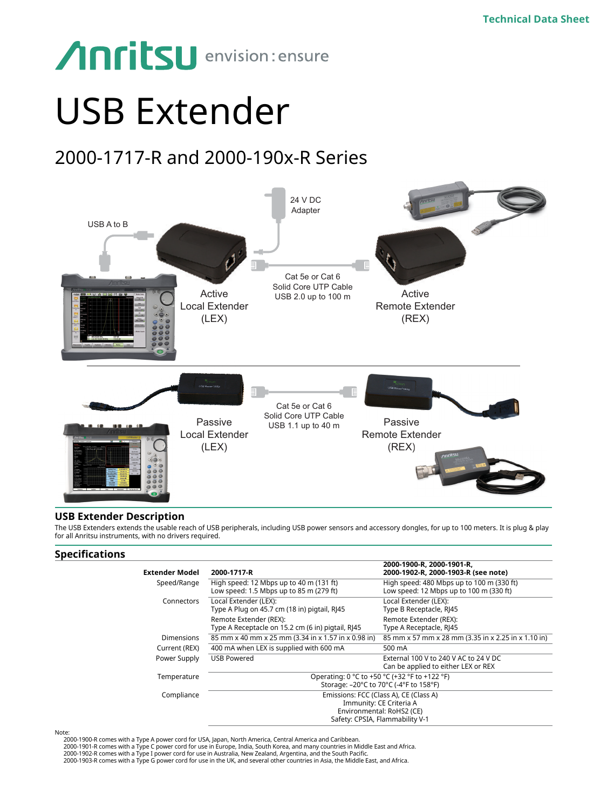# **Anritsu** envision: ensure

# USB Extender

# 2000-1717-R and 2000-190x-R Series



# **USB Extender Description**

The USB Extenders extends the usable reach of USB peripherals, including USB power sensors and accessory dongles, for up to 100 meters. It is plug & play for all Anritsu instruments, with no drivers required.

# **Specifications**

| <b>Extender Model</b> | 2000-1717-R                                                                                                                       | 2000-1900-R. 2000-1901-R.<br>2000-1902-R, 2000-1903-R (see note)                     |
|-----------------------|-----------------------------------------------------------------------------------------------------------------------------------|--------------------------------------------------------------------------------------|
| Speed/Range           | High speed: 12 Mbps up to 40 m (131 ft)<br>Low speed: 1.5 Mbps up to 85 m (279 ft)                                                | High speed: 480 Mbps up to 100 m (330 ft)<br>Low speed: 12 Mbps up to 100 m (330 ft) |
| Connectors            | Local Extender (LEX):<br>Type A Plug on 45.7 cm (18 in) pigtail, RJ45                                                             | Local Extender (LEX):<br>Type B Receptacle, RJ45                                     |
|                       | Remote Extender (REX):<br>Type A Receptacle on 15.2 cm (6 in) pigtail, RJ45                                                       | Remote Extender (REX):<br>Type A Receptacle, RJ45                                    |
| <b>Dimensions</b>     | 85 mm x 40 mm x 25 mm (3.34 in x 1.57 in x 0.98 in)                                                                               | 85 mm x 57 mm x 28 mm (3.35 in x 2.25 in x 1.10 in)                                  |
| Current (REX)         | 400 mA when LEX is supplied with 600 mA                                                                                           | 500 mA                                                                               |
| Power Supply          | <b>USB Powered</b>                                                                                                                | External 100 V to 240 V AC to 24 V DC<br>Can be applied to either LEX or REX         |
| Temperature           | Operating: 0 °C to +50 °C (+32 °F to +122 °F)                                                                                     |                                                                                      |
|                       | Storage: -20°C to 70°C (-4°F to 158°F)                                                                                            |                                                                                      |
| Compliance            | Emissions: FCC (Class A), CE (Class A)<br>Immunity: CE Criteria A<br>Environmental: RoHS2 (CE)<br>Safety: CPSIA, Flammability V-1 |                                                                                      |
|                       |                                                                                                                                   |                                                                                      |

Note: 2000-1900-R comes with a Type A power cord for USA, Japan, North America, Central America and Caribbean.

2000-1901-R comes with a Type C power cord for use in Europe, India, South Korea, and many countries in Middle East and Africa.

2000-1902-R comes with a Type I power cord for use in Australia, New Zealand, Argentina, and the South Pacific.<br>2000-1903-R comes with a Type G power cord for use in the UK, and several other countries in Asia, the Middle